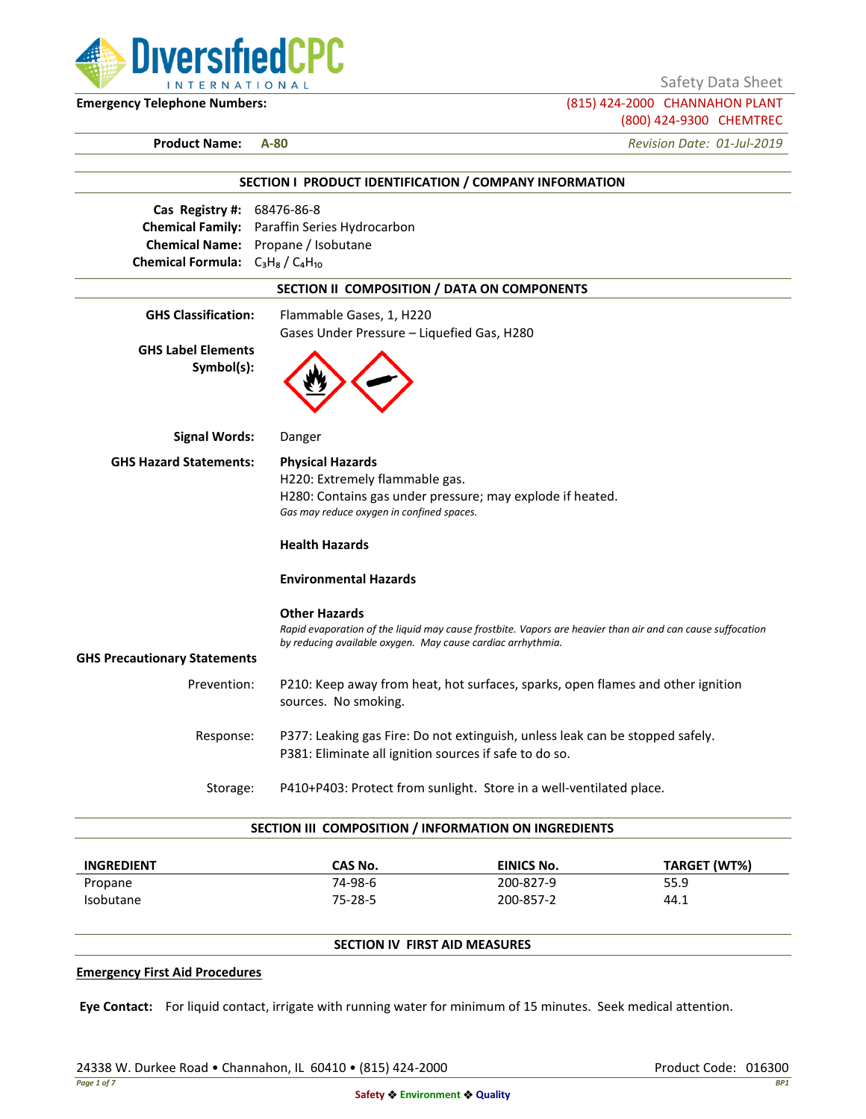

Safety Data Sheet

**Emergency Telephone Numbers:** (815) 424-2000 CHANNAHON PLANT (800) 424-9300 CHEMTREC

**Product Name: A-80** *Revision Date: 01-Jul-2019*

|                                         | SECTION I PRODUCT IDENTIFICATION / COMPANY INFORMATION                                                     |
|-----------------------------------------|------------------------------------------------------------------------------------------------------------|
| Cas Registry #: 68476-86-8              |                                                                                                            |
|                                         | <b>Chemical Family:</b> Paraffin Series Hydrocarbon                                                        |
| Chemical Formula: $C_3H_8/C_4H_{10}$    | Chemical Name: Propane / Isobutane                                                                         |
|                                         |                                                                                                            |
|                                         | SECTION II COMPOSITION / DATA ON COMPONENTS                                                                |
| <b>GHS Classification:</b>              | Flammable Gases, 1, H220                                                                                   |
|                                         | Gases Under Pressure - Liquefied Gas, H280                                                                 |
| <b>GHS Label Elements</b><br>Symbol(s): |                                                                                                            |
| <b>Signal Words:</b>                    | Danger                                                                                                     |
| <b>GHS Hazard Statements:</b>           | <b>Physical Hazards</b>                                                                                    |
|                                         | H220: Extremely flammable gas.                                                                             |
|                                         | H280: Contains gas under pressure; may explode if heated.                                                  |
|                                         | Gas may reduce oxygen in confined spaces.                                                                  |
|                                         | <b>Health Hazards</b>                                                                                      |
|                                         | <b>Environmental Hazards</b>                                                                               |
|                                         | <b>Other Hazards</b>                                                                                       |
|                                         | Rapid evaporation of the liquid may cause frostbite. Vapors are heavier than air and can cause suffocation |
| <b>GHS Precautionary Statements</b>     | by reducing available oxygen. May cause cardiac arrhythmia.                                                |
|                                         |                                                                                                            |
| Prevention:                             | P210: Keep away from heat, hot surfaces, sparks, open flames and other ignition<br>sources. No smoking.    |
| Response:                               | P377: Leaking gas Fire: Do not extinguish, unless leak can be stopped safely.                              |
|                                         | P381: Eliminate all ignition sources if safe to do so.                                                     |
| Storage:                                | P410+P403: Protect from sunlight. Store in a well-ventilated place.                                        |

| <b>INGREDIENT</b> | CAS No. | <b>EINICS No.</b> | TARGET (WT%) |
|-------------------|---------|-------------------|--------------|
| Propane           | 74-98-6 | 200-827-9         | 55.9         |
| <b>Isobutane</b>  | 75-28-5 | 200-857-2         | 44.1         |

## **SECTION IV FIRST AID MEASURES**

#### **Emergency First Aid Procedures**

**Eye Contact:** For liquid contact, irrigate with running water for minimum of 15 minutes. Seek medical attention.

24338 W. Durkee Road • Channahon, IL 60410 • (815) 424-2000 Product Code: 016300 Product Code: 016300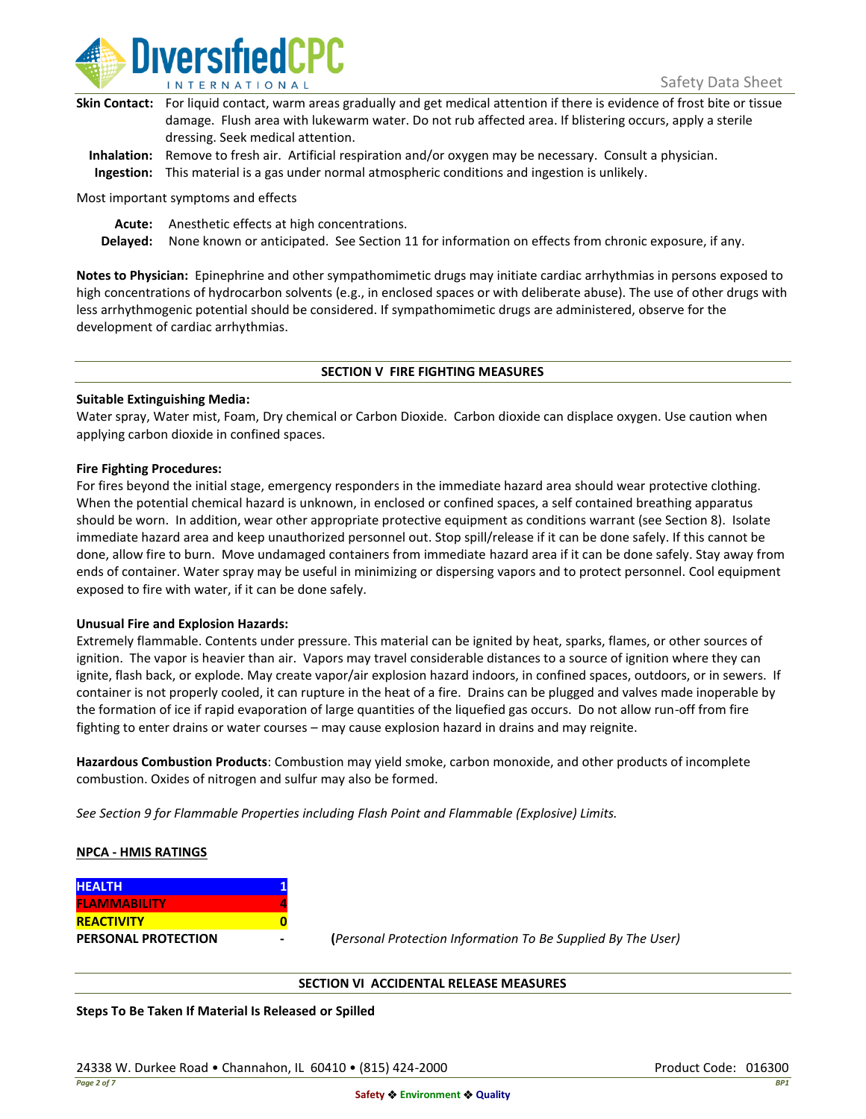

| Skin Contact: For liquid contact, warm areas gradually and get medical attention if there is evidence of frost bite or tissue |
|-------------------------------------------------------------------------------------------------------------------------------|
| damage. Flush area with lukewarm water. Do not rub affected area. If blistering occurs, apply a sterile                       |
| dressing. Seek medical attention.                                                                                             |
|                                                                                                                               |

**Inhalation:** Remove to fresh air. Artificial respiration and/or oxygen may be necessary. Consult a physician. **Ingestion:** This material is a gas under normal atmospheric conditions and ingestion is unlikely.

Most important symptoms and effects

**Acute:** Anesthetic effects at high concentrations.

**Delayed:** None known or anticipated. See Section 11 for information on effects from chronic exposure, if any.

**Notes to Physician:** Epinephrine and other sympathomimetic drugs may initiate cardiac arrhythmias in persons exposed to high concentrations of hydrocarbon solvents (e.g., in enclosed spaces or with deliberate abuse). The use of other drugs with less arrhythmogenic potential should be considered. If sympathomimetic drugs are administered, observe for the development of cardiac arrhythmias.

### **SECTION V FIRE FIGHTING MEASURES**

### **Suitable Extinguishing Media:**

Water spray, Water mist, Foam, Dry chemical or Carbon Dioxide. Carbon dioxide can displace oxygen. Use caution when applying carbon dioxide in confined spaces.

### **Fire Fighting Procedures:**

For fires beyond the initial stage, emergency responders in the immediate hazard area should wear protective clothing. When the potential chemical hazard is unknown, in enclosed or confined spaces, a self contained breathing apparatus should be worn. In addition, wear other appropriate protective equipment as conditions warrant (see Section 8). Isolate immediate hazard area and keep unauthorized personnel out. Stop spill/release if it can be done safely. If this cannot be done, allow fire to burn. Move undamaged containers from immediate hazard area if it can be done safely. Stay away from ends of container. Water spray may be useful in minimizing or dispersing vapors and to protect personnel. Cool equipment exposed to fire with water, if it can be done safely.

### **Unusual Fire and Explosion Hazards:**

Extremely flammable. Contents under pressure. This material can be ignited by heat, sparks, flames, or other sources of ignition. The vapor is heavier than air. Vapors may travel considerable distances to a source of ignition where they can ignite, flash back, or explode. May create vapor/air explosion hazard indoors, in confined spaces, outdoors, or in sewers. If container is not properly cooled, it can rupture in the heat of a fire. Drains can be plugged and valves made inoperable by the formation of ice if rapid evaporation of large quantities of the liquefied gas occurs. Do not allow run-off from fire fighting to enter drains or water courses – may cause explosion hazard in drains and may reignite.

**Hazardous Combustion Products**: Combustion may yield smoke, carbon monoxide, and other products of incomplete combustion. Oxides of nitrogen and sulfur may also be formed.

*See Section 9 for Flammable Properties including Flash Point and Flammable (Explosive) Limits.*

### **NPCA - HMIS RATINGS**

| <b>HEALTH</b>              |  |
|----------------------------|--|
| <b>FLAMMABILITY</b>        |  |
| <b>REACTIVITY</b>          |  |
| <b>PERSONAL PROTECTION</b> |  |

**PERSONAL PROTECTION - (***Personal Protection Information To Be Supplied By The User)*

### **SECTION VI ACCIDENTAL RELEASE MEASURES**

**Steps To Be Taken If Material Is Released or Spilled**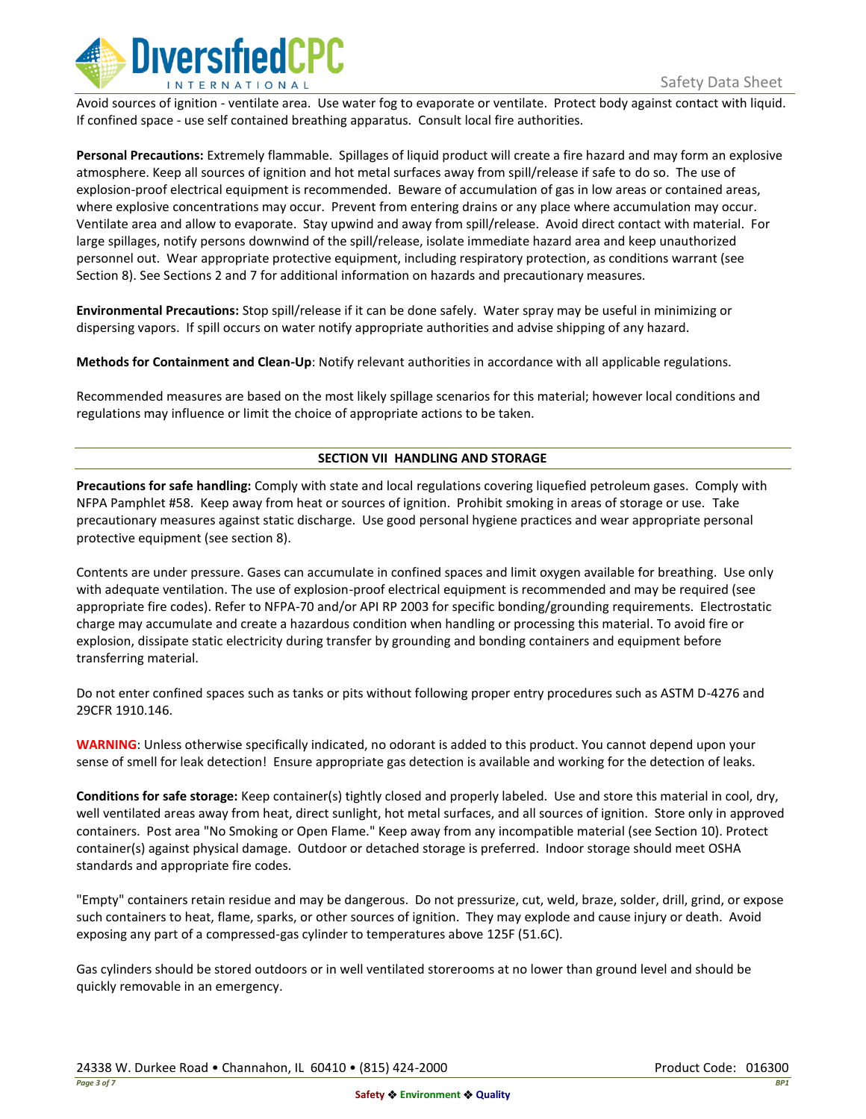

Avoid sources of ignition - ventilate area. Use water fog to evaporate or ventilate. Protect body against contact with liquid. If confined space - use self contained breathing apparatus. Consult local fire authorities.

**Personal Precautions:** Extremely flammable. Spillages of liquid product will create a fire hazard and may form an explosive atmosphere. Keep all sources of ignition and hot metal surfaces away from spill/release if safe to do so. The use of explosion-proof electrical equipment is recommended. Beware of accumulation of gas in low areas or contained areas, where explosive concentrations may occur. Prevent from entering drains or any place where accumulation may occur. Ventilate area and allow to evaporate. Stay upwind and away from spill/release. Avoid direct contact with material. For large spillages, notify persons downwind of the spill/release, isolate immediate hazard area and keep unauthorized personnel out. Wear appropriate protective equipment, including respiratory protection, as conditions warrant (see Section 8). See Sections 2 and 7 for additional information on hazards and precautionary measures.

**Environmental Precautions:** Stop spill/release if it can be done safely. Water spray may be useful in minimizing or dispersing vapors. If spill occurs on water notify appropriate authorities and advise shipping of any hazard.

**Methods for Containment and Clean-Up**: Notify relevant authorities in accordance with all applicable regulations.

Recommended measures are based on the most likely spillage scenarios for this material; however local conditions and regulations may influence or limit the choice of appropriate actions to be taken.

## **SECTION VII HANDLING AND STORAGE**

**Precautions for safe handling:** Comply with state and local regulations covering liquefied petroleum gases. Comply with NFPA Pamphlet #58. Keep away from heat or sources of ignition. Prohibit smoking in areas of storage or use. Take precautionary measures against static discharge. Use good personal hygiene practices and wear appropriate personal protective equipment (see section 8).

Contents are under pressure. Gases can accumulate in confined spaces and limit oxygen available for breathing. Use only with adequate ventilation. The use of explosion-proof electrical equipment is recommended and may be required (see appropriate fire codes). Refer to NFPA-70 and/or API RP 2003 for specific bonding/grounding requirements. Electrostatic charge may accumulate and create a hazardous condition when handling or processing this material. To avoid fire or explosion, dissipate static electricity during transfer by grounding and bonding containers and equipment before transferring material.

Do not enter confined spaces such as tanks or pits without following proper entry procedures such as ASTM D-4276 and 29CFR 1910.146.

**WARNING**: Unless otherwise specifically indicated, no odorant is added to this product. You cannot depend upon your sense of smell for leak detection! Ensure appropriate gas detection is available and working for the detection of leaks.

**Conditions for safe storage:** Keep container(s) tightly closed and properly labeled. Use and store this material in cool, dry, well ventilated areas away from heat, direct sunlight, hot metal surfaces, and all sources of ignition. Store only in approved containers. Post area "No Smoking or Open Flame." Keep away from any incompatible material (see Section 10). Protect container(s) against physical damage. Outdoor or detached storage is preferred. Indoor storage should meet OSHA standards and appropriate fire codes.

"Empty" containers retain residue and may be dangerous. Do not pressurize, cut, weld, braze, solder, drill, grind, or expose such containers to heat, flame, sparks, or other sources of ignition. They may explode and cause injury or death. Avoid exposing any part of a compressed-gas cylinder to temperatures above 125F (51.6C).

Gas cylinders should be stored outdoors or in well ventilated storerooms at no lower than ground level and should be quickly removable in an emergency.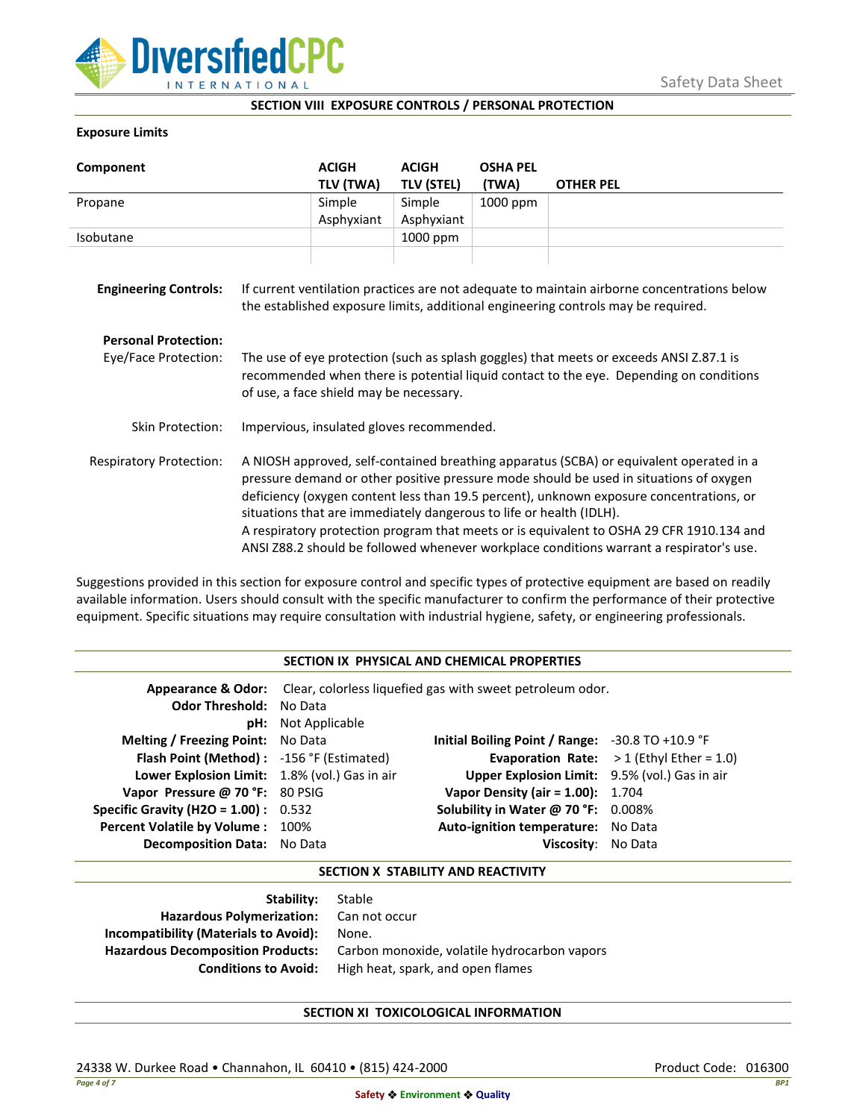

### **SECTION VIII EXPOSURE CONTROLS / PERSONAL PROTECTION**

### **Exposure Limits**

| Component                      |                                                                                                                                                                                                                                                                                                                                                                                                                                                                                                                                            | <b>ACIGH</b><br>TLV (TWA) | <b>ACIGH</b><br><b>TLV (STEL)</b> | <b>OSHA PEL</b><br>(TWA) | <b>OTHER PEL</b> |
|--------------------------------|--------------------------------------------------------------------------------------------------------------------------------------------------------------------------------------------------------------------------------------------------------------------------------------------------------------------------------------------------------------------------------------------------------------------------------------------------------------------------------------------------------------------------------------------|---------------------------|-----------------------------------|--------------------------|------------------|
| Propane                        |                                                                                                                                                                                                                                                                                                                                                                                                                                                                                                                                            | Simple                    | Simple                            | 1000 ppm                 |                  |
|                                |                                                                                                                                                                                                                                                                                                                                                                                                                                                                                                                                            | Asphyxiant                | Asphyxiant                        |                          |                  |
| Isobutane                      |                                                                                                                                                                                                                                                                                                                                                                                                                                                                                                                                            |                           | 1000 ppm                          |                          |                  |
| <b>Engineering Controls:</b>   | If current ventilation practices are not adequate to maintain airborne concentrations below<br>the established exposure limits, additional engineering controls may be required.                                                                                                                                                                                                                                                                                                                                                           |                           |                                   |                          |                  |
| <b>Personal Protection:</b>    |                                                                                                                                                                                                                                                                                                                                                                                                                                                                                                                                            |                           |                                   |                          |                  |
| Eye/Face Protection:           | The use of eye protection (such as splash goggles) that meets or exceeds ANSI Z.87.1 is<br>recommended when there is potential liquid contact to the eye. Depending on conditions<br>of use, a face shield may be necessary.                                                                                                                                                                                                                                                                                                               |                           |                                   |                          |                  |
| Skin Protection:               | Impervious, insulated gloves recommended.                                                                                                                                                                                                                                                                                                                                                                                                                                                                                                  |                           |                                   |                          |                  |
| <b>Respiratory Protection:</b> | A NIOSH approved, self-contained breathing apparatus (SCBA) or equivalent operated in a<br>pressure demand or other positive pressure mode should be used in situations of oxygen<br>deficiency (oxygen content less than 19.5 percent), unknown exposure concentrations, or<br>situations that are immediately dangerous to life or health (IDLH).<br>A respiratory protection program that meets or is equivalent to OSHA 29 CFR 1910.134 and<br>ANSI Z88.2 should be followed whenever workplace conditions warrant a respirator's use. |                           |                                   |                          |                  |

Suggestions provided in this section for exposure control and specific types of protective equipment are based on readily available information. Users should consult with the specific manufacturer to confirm the performance of their protective equipment. Specific situations may require consultation with industrial hygiene, safety, or engineering professionals.

### **SECTION IX PHYSICAL AND CHEMICAL PROPERTIES**

| <b>Odor Threshold: No Data</b>                | <b>pH:</b> Not Applicable | <b>Appearance &amp; Odor:</b> Clear, colorless liquefied gas with sweet petroleum odor. |                                                   |
|-----------------------------------------------|---------------------------|-----------------------------------------------------------------------------------------|---------------------------------------------------|
| <b>Melting / Freezing Point:</b> No Data      |                           | Initial Boiling Point / Range: $-30.8$ TO $+10.9$ °F                                    |                                                   |
| Flash Point (Method): -156 °F (Estimated)     |                           |                                                                                         | <b>Evaporation Rate:</b> $>1$ (Ethyl Ether = 1.0) |
| Lower Explosion Limit: 1.8% (vol.) Gas in air |                           | Upper Explosion Limit: 9.5% (vol.) Gas in air                                           |                                                   |
| Vapor Pressure @ 70 °F: 80 PSIG               |                           | <b>Vapor Density (air = 1.00):</b> 1.704                                                |                                                   |
| <b>Specific Gravity (H2O = 1.00):</b> $0.532$ |                           | Solubility in Water @ 70 °F: 0.008%                                                     |                                                   |
| Percent Volatile by Volume: 100%              |                           | Auto-ignition temperature: No Data                                                      |                                                   |
| <b>Decomposition Data:</b> No Data            |                           | Viscosity: No Data                                                                      |                                                   |

### **SECTION X STABILITY AND REACTIVITY**

| Stable                                       |
|----------------------------------------------|
| Hazardous Polymerization: Can not occur      |
| None.                                        |
| Carbon monoxide, volatile hydrocarbon vapors |
| High heat, spark, and open flames            |
|                                              |

# **SECTION XI TOXICOLOGICAL INFORMATION**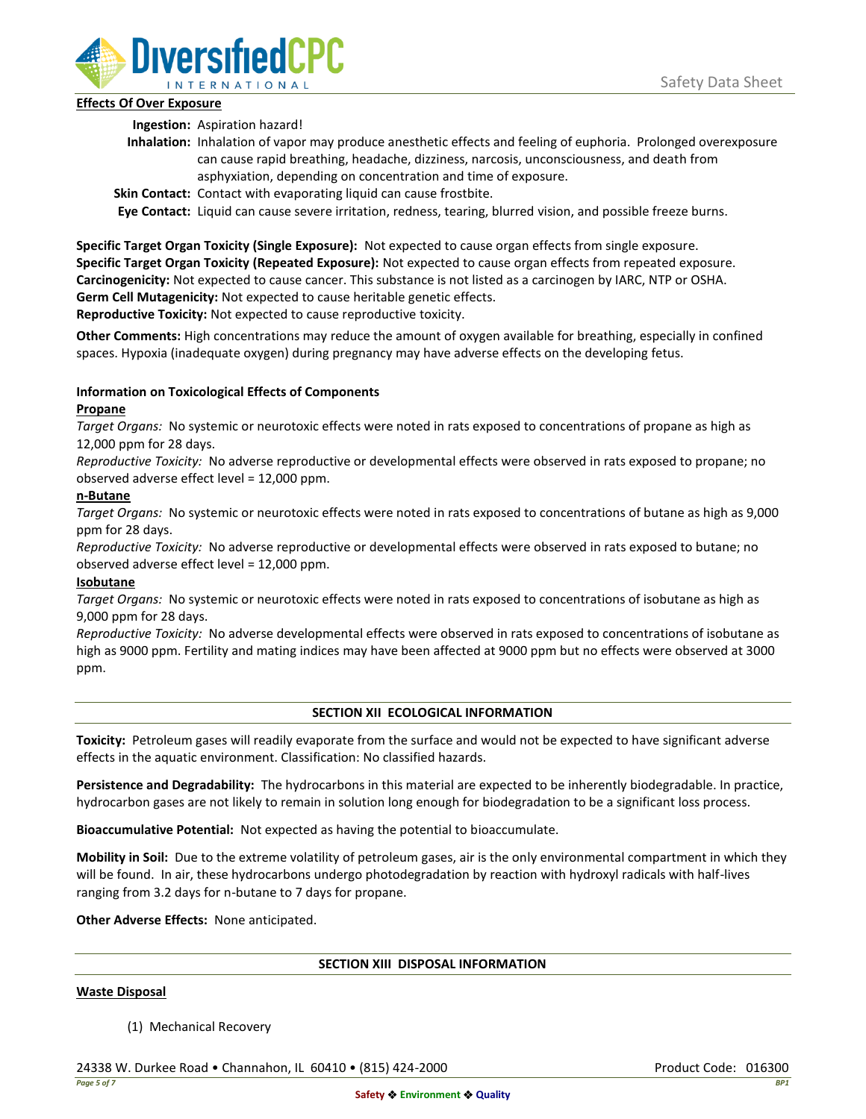

## **Effects Of Over Exposure**

**Ingestion:** Aspiration hazard!

- **Inhalation:** Inhalation of vapor may produce anesthetic effects and feeling of euphoria. Prolonged overexposure can cause rapid breathing, headache, dizziness, narcosis, unconsciousness, and death from asphyxiation, depending on concentration and time of exposure.
- **Skin Contact:** Contact with evaporating liquid can cause frostbite.

**Eye Contact:** Liquid can cause severe irritation, redness, tearing, blurred vision, and possible freeze burns.

**Specific Target Organ Toxicity (Single Exposure):** Not expected to cause organ effects from single exposure. **Specific Target Organ Toxicity (Repeated Exposure):** Not expected to cause organ effects from repeated exposure. **Carcinogenicity:** Not expected to cause cancer. This substance is not listed as a carcinogen by IARC, NTP or OSHA. **Germ Cell Mutagenicity:** Not expected to cause heritable genetic effects.

**Reproductive Toxicity:** Not expected to cause reproductive toxicity.

**Other Comments:** High concentrations may reduce the amount of oxygen available for breathing, especially in confined spaces. Hypoxia (inadequate oxygen) during pregnancy may have adverse effects on the developing fetus.

# **Information on Toxicological Effects of Components**

## **Propane**

*Target Organs:* No systemic or neurotoxic effects were noted in rats exposed to concentrations of propane as high as 12,000 ppm for 28 days.

*Reproductive Toxicity:* No adverse reproductive or developmental effects were observed in rats exposed to propane; no observed adverse effect level = 12,000 ppm.

## **n-Butane**

*Target Organs:* No systemic or neurotoxic effects were noted in rats exposed to concentrations of butane as high as 9,000 ppm for 28 days.

*Reproductive Toxicity:* No adverse reproductive or developmental effects were observed in rats exposed to butane; no observed adverse effect level = 12,000 ppm.

# **Isobutane**

*Target Organs:* No systemic or neurotoxic effects were noted in rats exposed to concentrations of isobutane as high as 9,000 ppm for 28 days.

*Reproductive Toxicity:* No adverse developmental effects were observed in rats exposed to concentrations of isobutane as high as 9000 ppm. Fertility and mating indices may have been affected at 9000 ppm but no effects were observed at 3000 ppm.

# **SECTION XII ECOLOGICAL INFORMATION**

**Toxicity:** Petroleum gases will readily evaporate from the surface and would not be expected to have significant adverse effects in the aquatic environment. Classification: No classified hazards.

**Persistence and Degradability:** The hydrocarbons in this material are expected to be inherently biodegradable. In practice, hydrocarbon gases are not likely to remain in solution long enough for biodegradation to be a significant loss process.

**Bioaccumulative Potential:** Not expected as having the potential to bioaccumulate.

**Mobility in Soil:** Due to the extreme volatility of petroleum gases, air is the only environmental compartment in which they will be found. In air, these hydrocarbons undergo photodegradation by reaction with hydroxyl radicals with half-lives ranging from 3.2 days for n-butane to 7 days for propane.

**Other Adverse Effects:** None anticipated.

### **SECTION XIII DISPOSAL INFORMATION**

### **Waste Disposal**

(1) Mechanical Recovery

24338 W. Durkee Road • Channahon, IL 60410 • (815) 424-2000 Product Code: 016300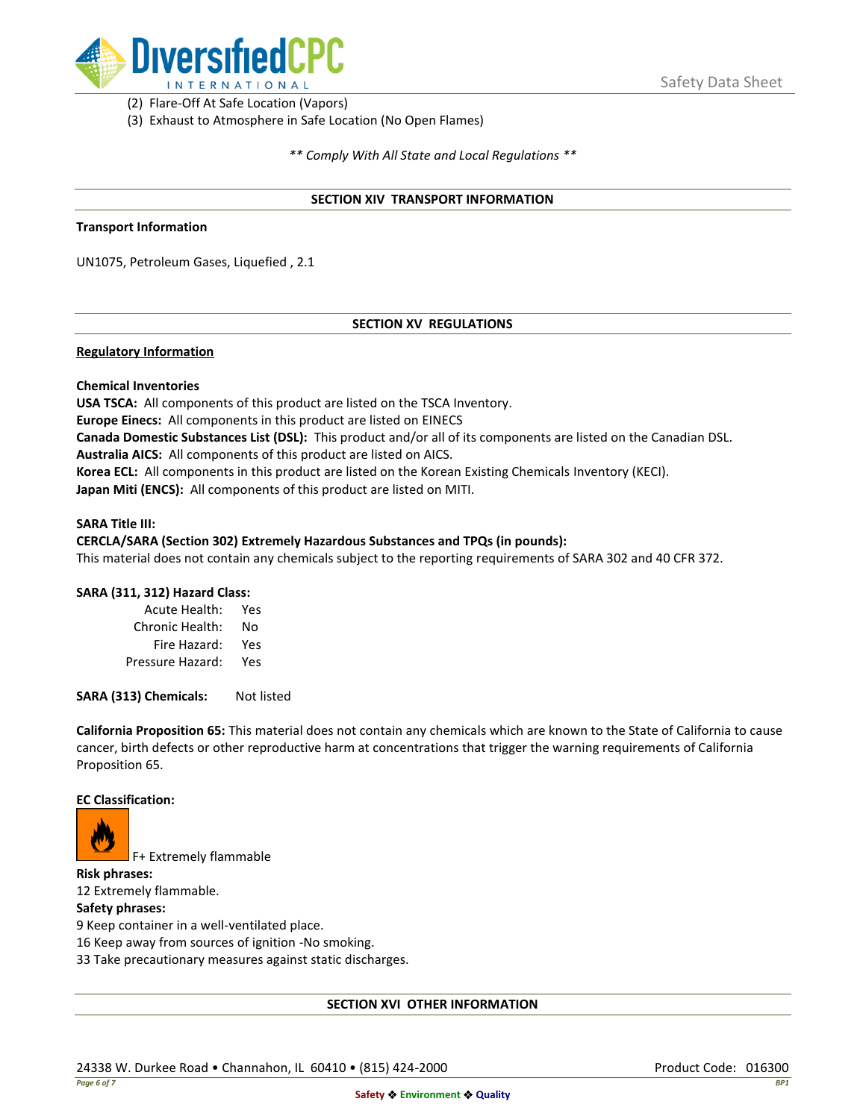

(2) Flare-Off At Safe Location (Vapors)

(3) Exhaust to Atmosphere in Safe Location (No Open Flames)

*\*\* Comply With All State and Local Regulations \*\**

### **SECTION XIV TRANSPORT INFORMATION**

#### **Transport Information**

UN1075, Petroleum Gases, Liquefied , 2.1

### **SECTION XV REGULATIONS**

#### **Regulatory Information**

### **Chemical Inventories**

**USA TSCA:** All components of this product are listed on the TSCA Inventory. **Europe Einecs:** All components in this product are listed on EINECS **Canada Domestic Substances List (DSL):** This product and/or all of its components are listed on the Canadian DSL. **Australia AICS:** All components of this product are listed on AICS. **Korea ECL:** All components in this product are listed on the Korean Existing Chemicals Inventory (KECI). **Japan Miti (ENCS):** All components of this product are listed on MITI.

#### **SARA Title III:**

### **CERCLA/SARA (Section 302) Extremely Hazardous Substances and TPQs (in pounds):**

This material does not contain any chemicals subject to the reporting requirements of SARA 302 and 40 CFR 372.

### **SARA (311, 312) Hazard Class:**

| Acute Health:    | Yes |
|------------------|-----|
| Chronic Health:  | No  |
| Fire Hazard:     | Yes |
| Pressure Hazard: | Yes |

**SARA (313) Chemicals:** Not listed

**California Proposition 65:** This material does not contain any chemicals which are known to the State of California to cause cancer, birth defects or other reproductive harm at concentrations that trigger the warning requirements of California Proposition 65.

#### **EC Classification:**



F+ Extremely flammable

**Risk phrases:** 12 Extremely flammable.

## **Safety phrases:**

9 Keep container in a well-ventilated place.

16 Keep away from sources of ignition -No smoking.

33 Take precautionary measures against static discharges.

### **SECTION XVI OTHER INFORMATION**